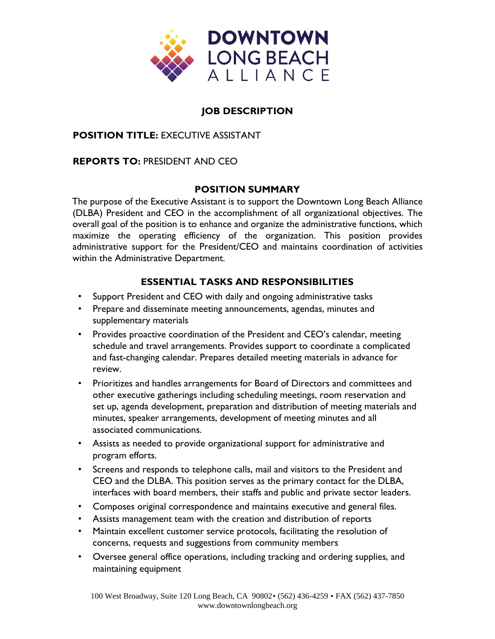

# **JOB DESCRIPTION**

## **POSITION TITLE:** EXECUTIVE ASSISTANT

## **REPORTS TO:** PRESIDENT AND CEO

## **POSITION SUMMARY**

The purpose of the Executive Assistant is to support the Downtown Long Beach Alliance (DLBA) President and CEO in the accomplishment of all organizational objectives. The overall goal of the position is to enhance and organize the administrative functions, which maximize the operating efficiency of the organization. This position provides administrative support for the President/CEO and maintains coordination of activities within the Administrative Department.

# **ESSENTIAL TASKS AND RESPONSIBILITIES**

- Support President and CEO with daily and ongoing administrative tasks
- Prepare and disseminate meeting announcements, agendas, minutes and supplementary materials
- Provides proactive coordination of the President and CEO's calendar, meeting schedule and travel arrangements. Provides support to coordinate a complicated and fast-changing calendar. Prepares detailed meeting materials in advance for review.
- Prioritizes and handles arrangements for Board of Directors and committees and other executive gatherings including scheduling meetings, room reservation and set up, agenda development, preparation and distribution of meeting materials and minutes, speaker arrangements, development of meeting minutes and all associated communications.
- Assists as needed to provide organizational support for administrative and program efforts.
- Screens and responds to telephone calls, mail and visitors to the President and CEO and the DLBA. This position serves as the primary contact for the DLBA, interfaces with board members, their staffs and public and private sector leaders.
- Composes original correspondence and maintains executive and general files.
- Assists management team with the creation and distribution of reports
- Maintain excellent customer service protocols, facilitating the resolution of concerns, requests and suggestions from community members
- Oversee general office operations, including tracking and ordering supplies, and maintaining equipment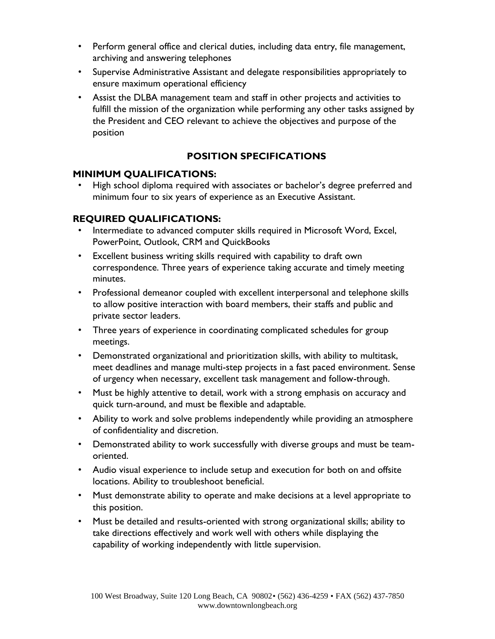- Perform general office and clerical duties, including data entry, file management, archiving and answering telephones
- Supervise Administrative Assistant and delegate responsibilities appropriately to ensure maximum operational efficiency
- Assist the DLBA management team and staff in other projects and activities to fulfill the mission of the organization while performing any other tasks assigned by the President and CEO relevant to achieve the objectives and purpose of the position

# **POSITION SPECIFICATIONS**

# **MINIMUM QUALIFICATIONS:**

High school diploma required with associates or bachelor's degree preferred and minimum four to six years of experience as an Executive Assistant.

# **REQUIRED QUALIFICATIONS:**

- Intermediate to advanced computer skills required in Microsoft Word, Excel, PowerPoint, Outlook, CRM and QuickBooks
- Excellent business writing skills required with capability to draft own correspondence. Three years of experience taking accurate and timely meeting minutes.
- Professional demeanor coupled with excellent interpersonal and telephone skills to allow positive interaction with board members, their staffs and public and private sector leaders.
- Three years of experience in coordinating complicated schedules for group meetings.
- Demonstrated organizational and prioritization skills, with ability to multitask, meet deadlines and manage multi-step projects in a fast paced environment. Sense of urgency when necessary, excellent task management and follow-through.
- Must be highly attentive to detail, work with a strong emphasis on accuracy and quick turn-around, and must be flexible and adaptable.
- Ability to work and solve problems independently while providing an atmosphere of confidentiality and discretion.
- Demonstrated ability to work successfully with diverse groups and must be teamoriented.
- Audio visual experience to include setup and execution for both on and offsite locations. Ability to troubleshoot beneficial.
- Must demonstrate ability to operate and make decisions at a level appropriate to this position.
- Must be detailed and results-oriented with strong organizational skills; ability to take directions effectively and work well with others while displaying the capability of working independently with little supervision.